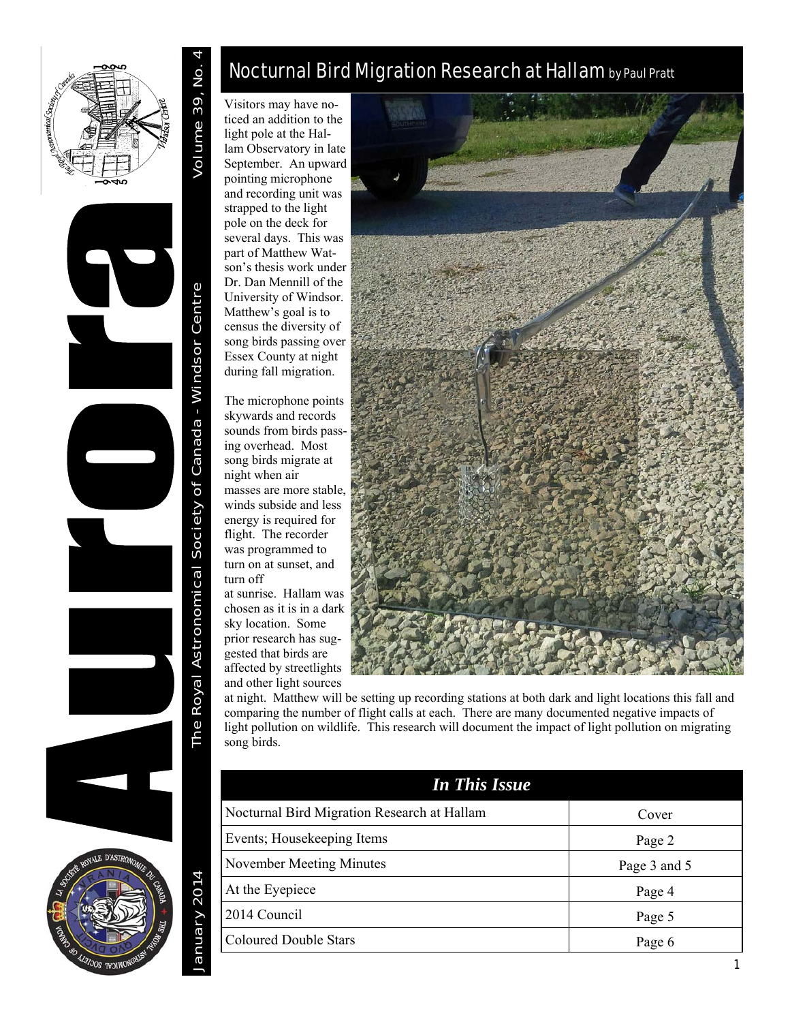

Volume 39, No.

January 2014 The Royal Astronomical Society of Canada - Windsor Centre Volume 39, No. 4 The Royal Astronomical Society of Canada - Windsor Centre



January 2014

# Nocturnal Bird Migration Research at Hallam by Paul Pratt

Visitors may have noticed an addition to the light pole at the Hallam Observatory in late September. An upward pointing microphone and recording unit was strapped to the light pole on the deck for several days. This was part of Matthew Watson's thesis work under Dr. Dan Mennill of the University of Windsor. Matthew's goal is to census the diversity of song birds passing over Essex County at night during fall migration.

The microphone points skywards and records sounds from birds passing overhead. Most song birds migrate at night when air masses are more stable, winds subside and less energy is required for flight. The recorder was programmed to turn on at sunset, and turn off at sunrise. Hallam was

chosen as it is in a dark sky location. Some prior research has suggested that birds are affected by streetlights and other light sources



at night. Matthew will be setting up recording stations at both dark and light locations this fall and comparing the number of flight calls at each. There are many documented negative impacts of light pollution on wildlife. This research will document the impact of light pollution on migrating song birds.

| <b>In This Issue</b>                        |              |
|---------------------------------------------|--------------|
| Nocturnal Bird Migration Research at Hallam | Cover        |
| Events; Housekeeping Items                  | Page 2       |
| November Meeting Minutes                    | Page 3 and 5 |
| At the Eyepiece                             | Page 4       |
| 2014 Council                                | Page 5       |
| <b>Coloured Double Stars</b>                | Page 6       |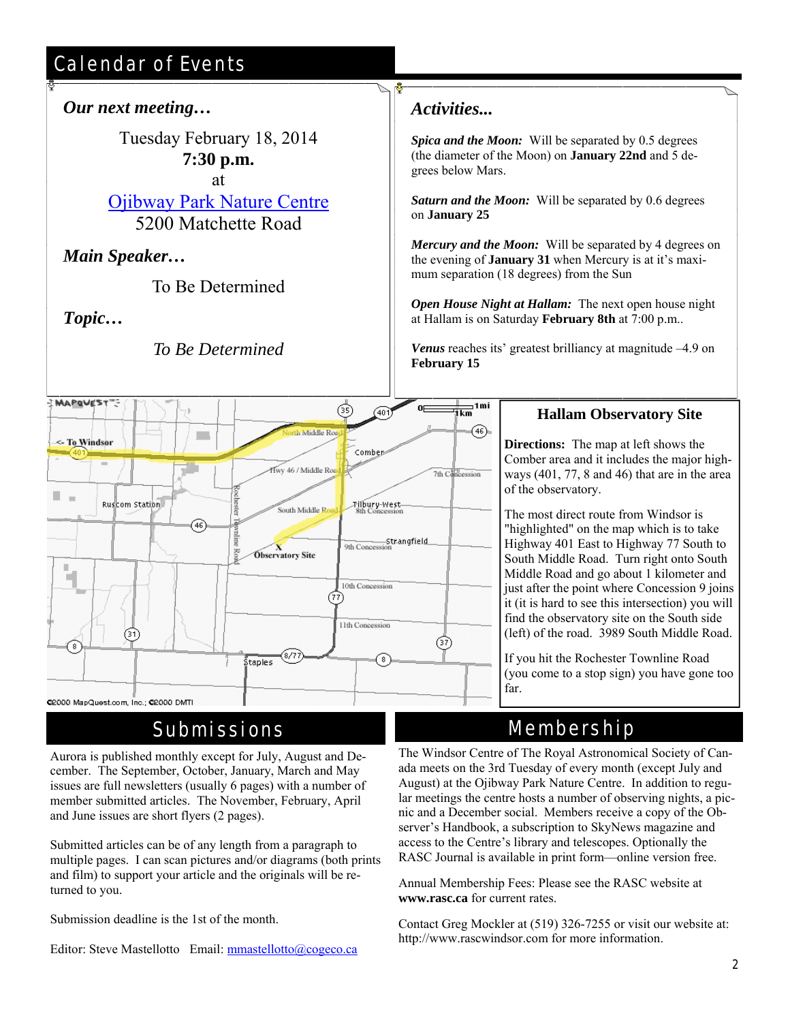# Calendar of Events

### *Our next meeting…*

Tuesday February 18, 2014 **7:30 p.m.** at

Ojibway Park Nature Centre 5200 Matchette Road

*Main Speaker…* 

To Be Determined

*Topic…* 

*To Be Determined* 

#### $\frac{1}{1}$ km<sup>1mi</sup> MAPQUEST"-ශි 401)  $\widehat{(46)}$ th Middle Ros m. <- To Windsor Comber Hwy 46 / Middle Ro 7th Concession u. Ruscom Station Filbury-West-South Middle R 46 9th Concession<br>9th Concession **Observatory Site** ш n. 10th Concession 77 11th Concession (37) (37)  $(8/7)$ staples @2000 MapQuest.com, Inc.; @2000 DMTI

## Submissions

Aurora is published monthly except for July, August and December. The September, October, January, March and May issues are full newsletters (usually 6 pages) with a number of member submitted articles. The November, February, April and June issues are short flyers (2 pages).

Submitted articles can be of any length from a paragraph to multiple pages. I can scan pictures and/or diagrams (both prints and film) to support your article and the originals will be returned to you.

Submission deadline is the 1st of the month.

Editor: Steve Mastellotto Email: mmastellotto@cogeco.ca

### *Activities...*

 $\mathbf{a}$ Γ

> *Spica and the Moon:* Will be separated by 0.5 degrees (the diameter of the Moon) on **January 22nd** and 5 degrees below Mars.

*Saturn and the Moon:* Will be separated by 0.6 degrees on **January 25**

*Mercury and the Moon:* Will be separated by 4 degrees on the evening of **January 31** when Mercury is at it's maximum separation (18 degrees) from the Sun

*Open House Night at Hallam:* The next open house night at Hallam is on Saturday **February 8th** at 7:00 p.m..

*Venus* reaches its' greatest brilliancy at magnitude –4.9 on **February 15**

### **Hallam Observatory Site**

**Directions:** The map at left shows the Comber area and it includes the major highways (401, 77, 8 and 46) that are in the area of the observatory.

The most direct route from Windsor is "highlighted" on the map which is to take Highway 401 East to Highway 77 South to South Middle Road. Turn right onto South Middle Road and go about 1 kilometer and just after the point where Concession 9 joins it (it is hard to see this intersection) you will find the observatory site on the South side (left) of the road. 3989 South Middle Road.

If you hit the Rochester Townline Road (you come to a stop sign) you have gone too far.

# Membership

The Windsor Centre of The Royal Astronomical Society of Canada meets on the 3rd Tuesday of every month (except July and August) at the Ojibway Park Nature Centre. In addition to regular meetings the centre hosts a number of observing nights, a picnic and a December social. Members receive a copy of the Observer's Handbook, a subscription to SkyNews magazine and access to the Centre's library and telescopes. Optionally the RASC Journal is available in print form—online version free.

Annual Membership Fees: Please see the RASC website at **www.rasc.ca** for current rates.

Contact Greg Mockler at (519) 326-7255 or visit our website at: http://www.rascwindsor.com for more information.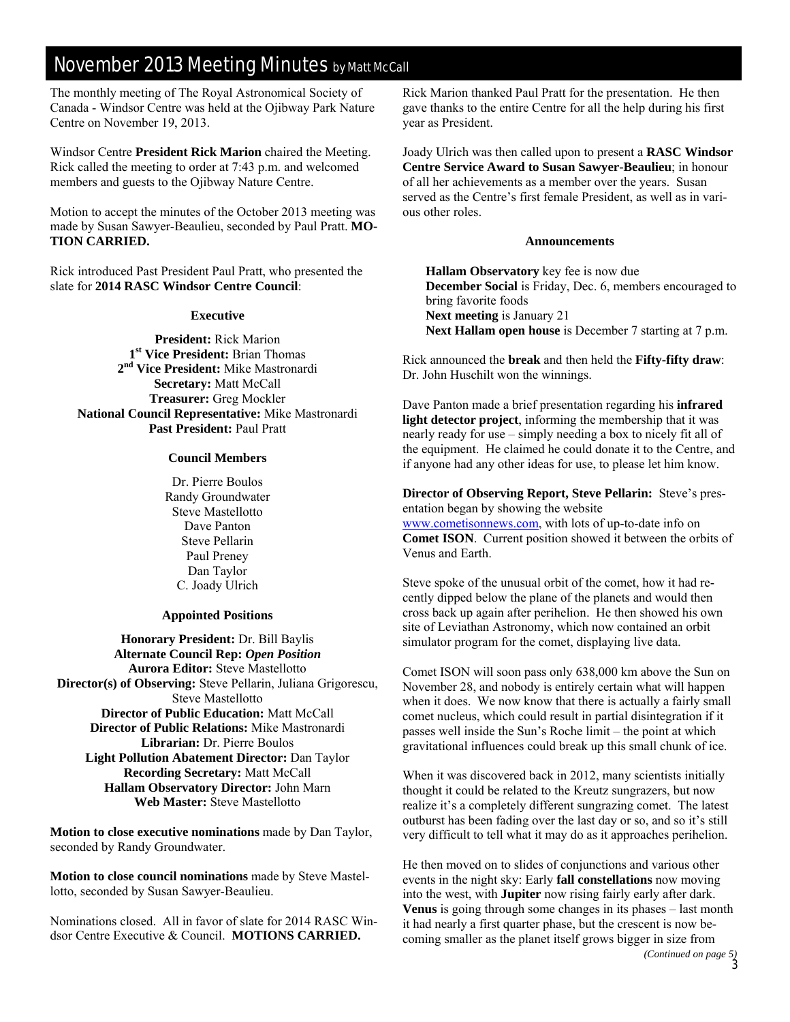## November 2013 Meeting Minutes by Matt McCall

The monthly meeting of The Royal Astronomical Society of Canada - Windsor Centre was held at the Ojibway Park Nature Centre on November 19, 2013.

Windsor Centre **President Rick Marion** chaired the Meeting. Rick called the meeting to order at 7:43 p.m. and welcomed members and guests to the Ojibway Nature Centre.

Motion to accept the minutes of the October 2013 meeting was made by Susan Sawyer-Beaulieu, seconded by Paul Pratt. **MO-TION CARRIED.**

Rick introduced Past President Paul Pratt, who presented the slate for **2014 RASC Windsor Centre Council**:

#### **Executive**

**President:** Rick Marion **1st Vice President:** Brian Thomas **2nd Vice President:** Mike Mastronardi **Secretary:** Matt McCall **Treasurer:** Greg Mockler **National Council Representative:** Mike Mastronardi **Past President:** Paul Pratt

#### **Council Members**

Dr. Pierre Boulos Randy Groundwater Steve Mastellotto Dave Panton Steve Pellarin Paul Preney Dan Taylor C. Joady Ulrich

#### **Appointed Positions**

**Honorary President:** Dr. Bill Baylis **Alternate Council Rep:** *Open Position* **Aurora Editor:** Steve Mastellotto **Director(s) of Observing:** Steve Pellarin, Juliana Grigorescu, Steve Mastellotto **Director of Public Education:** Matt McCall **Director of Public Relations:** Mike Mastronardi **Librarian:** Dr. Pierre Boulos **Light Pollution Abatement Director:** Dan Taylor **Recording Secretary:** Matt McCall **Hallam Observatory Director:** John Marn **Web Master:** Steve Mastellotto

**Motion to close executive nominations** made by Dan Taylor, seconded by Randy Groundwater.

**Motion to close council nominations** made by Steve Mastellotto, seconded by Susan Sawyer-Beaulieu.

Nominations closed. All in favor of slate for 2014 RASC Windsor Centre Executive & Council. **MOTIONS CARRIED.** 

Rick Marion thanked Paul Pratt for the presentation. He then gave thanks to the entire Centre for all the help during his first year as President.

Joady Ulrich was then called upon to present a **RASC Windsor Centre Service Award to Susan Sawyer-Beaulieu**; in honour of all her achievements as a member over the years. Susan served as the Centre's first female President, as well as in various other roles.

#### **Announcements**

**Hallam Observatory** key fee is now due **December Social** is Friday, Dec. 6, members encouraged to bring favorite foods **Next meeting** is January 21 **Next Hallam open house** is December 7 starting at 7 p.m.

Rick announced the **break** and then held the **Fifty-fifty draw**: Dr. John Huschilt won the winnings.

Dave Panton made a brief presentation regarding his **infrared light detector project**, informing the membership that it was nearly ready for use – simply needing a box to nicely fit all of the equipment. He claimed he could donate it to the Centre, and if anyone had any other ideas for use, to please let him know.

**Director of Observing Report, Steve Pellarin:** Steve's presentation began by showing the website www.cometisonnews.com, with lots of up-to-date info on **Comet ISON**. Current position showed it between the orbits of Venus and Earth.

Steve spoke of the unusual orbit of the comet, how it had recently dipped below the plane of the planets and would then cross back up again after perihelion. He then showed his own site of Leviathan Astronomy, which now contained an orbit simulator program for the comet, displaying live data.

Comet ISON will soon pass only 638,000 km above the Sun on November 28, and nobody is entirely certain what will happen when it does. We now know that there is actually a fairly small comet nucleus, which could result in partial disintegration if it passes well inside the Sun's Roche limit – the point at which gravitational influences could break up this small chunk of ice.

When it was discovered back in 2012, many scientists initially thought it could be related to the Kreutz sungrazers, but now realize it's a completely different sungrazing comet. The latest outburst has been fading over the last day or so, and so it's still very difficult to tell what it may do as it approaches perihelion.

He then moved on to slides of conjunctions and various other events in the night sky: Early **fall constellations** now moving into the west, with **Jupiter** now rising fairly early after dark. **Venus** is going through some changes in its phases – last month it had nearly a first quarter phase, but the crescent is now becoming smaller as the planet itself grows bigger in size from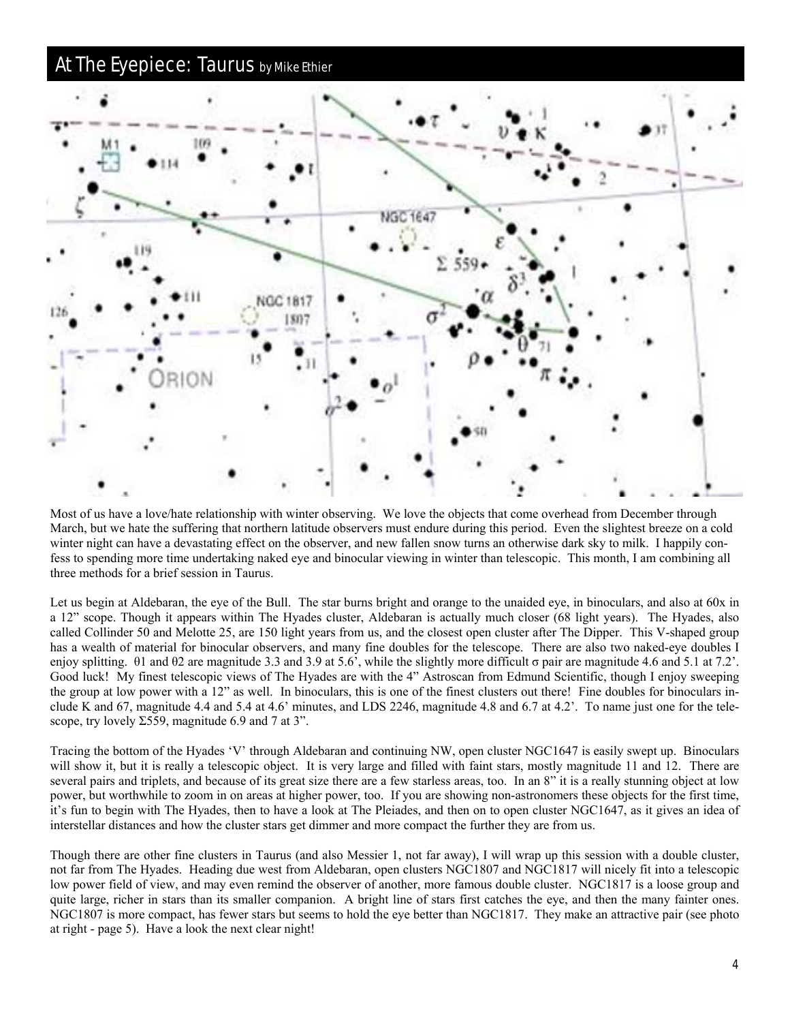### **At The Eyepiece: Taurus by Mike Ethier**



Most of us have a love/hate relationship with winter observing. We love the objects that come overhead from December through March, but we hate the suffering that northern latitude observers must endure during this period. Even the slightest breeze on a cold winter night can have a devastating effect on the observer, and new fallen snow turns an otherwise dark sky to milk. I happily confess to spending more time undertaking naked eye and binocular viewing in winter than telescopic. This month, I am combining all three methods for a brief session in Taurus.

Let us begin at Aldebaran, the eye of the Bull. The star burns bright and orange to the unaided eye, in binoculars, and also at 60x in a 12" scope. Though it appears within The Hyades cluster, Aldebaran is actually much closer (68 light years). The Hyades, also called Collinder 50 and Melotte 25, are 150 light years from us, and the closest open cluster after The Dipper. This V-shaped group has a wealth of material for binocular observers, and many fine doubles for the telescope. There are also two naked-eye doubles I enjoy splitting.  $θ1$  and  $θ2$  are magnitude 3.3 and 3.9 at 5.6', while the slightly more difficult σ pair are magnitude 4.6 and 5.1 at 7.2'. Good luck! My finest telescopic views of The Hyades are with the 4" Astroscan from Edmund Scientific, though I enjoy sweeping the group at low power with a 12" as well. In binoculars, this is one of the finest clusters out there! Fine doubles for binoculars include K and 67, magnitude 4.4 and 5.4 at 4.6' minutes, and LDS 2246, magnitude 4.8 and 6.7 at 4.2'. To name just one for the telescope, try lovely  $\Sigma$ 559, magnitude 6.9 and 7 at 3".

Tracing the bottom of the Hyades 'V' through Aldebaran and continuing NW, open cluster NGC1647 is easily swept up. Binoculars will show it, but it is really a telescopic object. It is very large and filled with faint stars, mostly magnitude 11 and 12. There are several pairs and triplets, and because of its great size there are a few starless areas, too. In an 8" it is a really stunning object at low power, but worthwhile to zoom in on areas at higher power, too. If you are showing non-astronomers these objects for the first time, it's fun to begin with The Hyades, then to have a look at The Pleiades, and then on to open cluster NGC1647, as it gives an idea of interstellar distances and how the cluster stars get dimmer and more compact the further they are from us.

Though there are other fine clusters in Taurus (and also Messier 1, not far away), I will wrap up this session with a double cluster, not far from The Hyades. Heading due west from Aldebaran, open clusters NGC1807 and NGC1817 will nicely fit into a telescopic low power field of view, and may even remind the observer of another, more famous double cluster. NGC1817 is a loose group and quite large, richer in stars than its smaller companion. A bright line of stars first catches the eye, and then the many fainter ones. NGC1807 is more compact, has fewer stars but seems to hold the eye better than NGC1817. They make an attractive pair (see photo at right - page 5). Have a look the next clear night!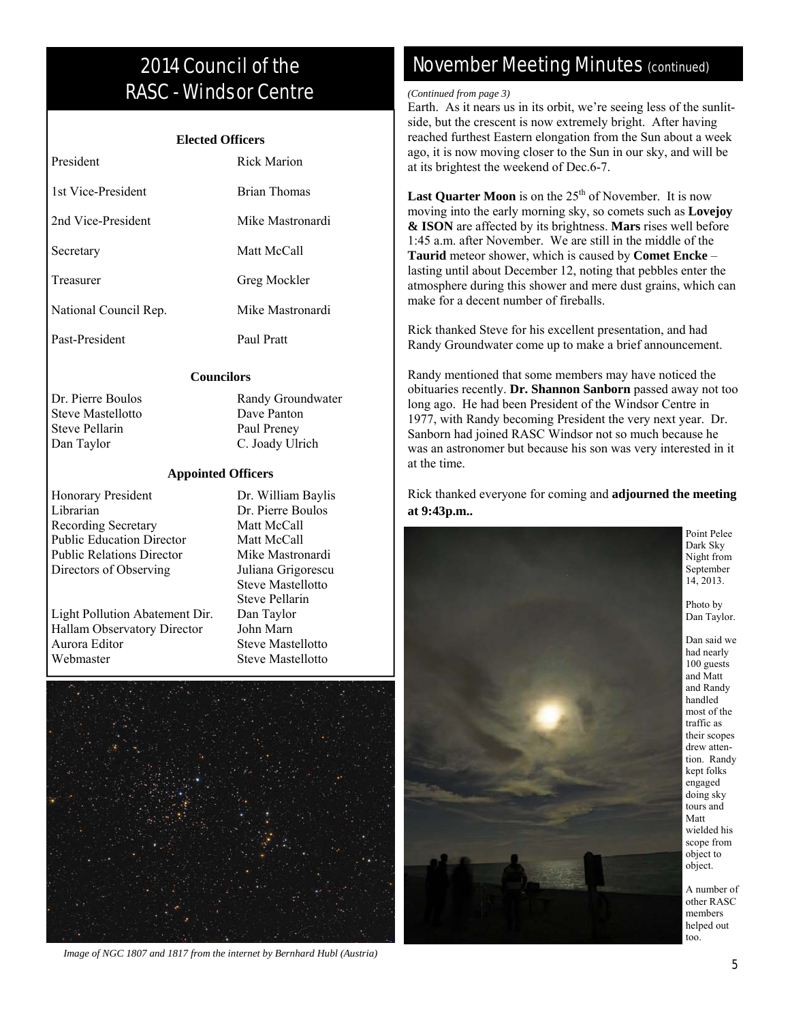# 2014 Council of the RASC - Windsor Centre

#### **Elected Officers**

| President             | Rick Marion      |
|-----------------------|------------------|
| 1st Vice-President    | Brian Thomas     |
| 2nd Vice-President    | Mike Mastronardi |
| Secretary             | Matt McCall      |
| Treasurer             | Greg Mockler     |
| National Council Rep. | Mike Mastronardi |
| Past-President        | Paul Pratt       |

#### **Councilors**

Steve Mastellotto Dave Panton Steve Pellarin Paul Preney Dan Taylor C. Joady Ulrich

Dr. Pierre Boulos Randy Groundwater

#### **Appointed Officers**

Honorary President Dr. William Baylis Librarian Dr. Pierre Boulos Recording Secretary Matt McCall Public Education Director Matt McCall Public Relations Director Mike Mastronardi Directors of Observing Juliana Grigorescu

Light Pollution Abatement Dir. Dan Taylor Hallam Observatory Director John Marn Aurora Editor Steve Mastellotto Webmaster Steve Mastellotto

 Steve Mastellotto Steve Pellarin



*Image of NGC 1807 and 1817 from the internet by Bernhard Hubl (Austria)* 

## November Meeting Minutes (continued)

#### *(Continued from page 3)*

Earth. As it nears us in its orbit, we're seeing less of the sunlitside, but the crescent is now extremely bright. After having reached furthest Eastern elongation from the Sun about a week ago, it is now moving closer to the Sun in our sky, and will be at its brightest the weekend of Dec.6-7.

**Last Quarter Moon** is on the  $25<sup>th</sup>$  of November. It is now moving into the early morning sky, so comets such as **Lovejoy & ISON** are affected by its brightness. **Mars** rises well before 1:45 a.m. after November. We are still in the middle of the **Taurid** meteor shower, which is caused by **Comet Encke** – lasting until about December 12, noting that pebbles enter the atmosphere during this shower and mere dust grains, which can make for a decent number of fireballs.

Rick thanked Steve for his excellent presentation, and had Randy Groundwater come up to make a brief announcement.

Randy mentioned that some members may have noticed the obituaries recently. **Dr. Shannon Sanborn** passed away not too long ago. He had been President of the Windsor Centre in 1977, with Randy becoming President the very next year. Dr. Sanborn had joined RASC Windsor not so much because he was an astronomer but because his son was very interested in it at the time.

Rick thanked everyone for coming and **adjourned the meeting at 9:43p.m..**



Point Pelee Dark Sky Night from September 14, 2013.

Photo by Dan Taylor.

Dan said we had nearly 100 guests and Matt and Randy handled most of the traffic as their scopes drew attention. Randy kept folks engaged doing sky tours and Matt wielded his scope from object to object.

A number of other RASC members helped out too.